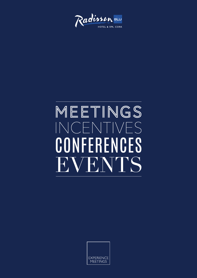

# MEETINGS INCENTIVES CONFERENCES EVENTS

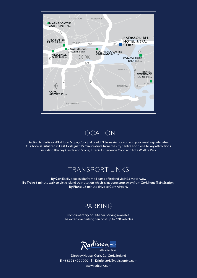

#### LOCATION

Getting to Radisson Blu Hotel & Spa, Cork just couldn't be easier for you and your meeting delegates. Our hotel is situated in East Cork, just 15 minute drive from the city centre and close to key attractions including Blarney Castle and Stone, Titanic Experience Cobh and Fota Wildlife Park.

#### TRANSPORT LINKS

**By Car:** Easily accessible from all parts of Ireland via N25 motorway. **By Train:** 5 minute walk to Little Island train station which is just one stop away from Cork Kent Train Station. **By Plane:** 15 minute drive to Cork Airport.

### PARKING

Complimentary on-site car parking available. The extensive parking can host up to 320 vehicles.



Ditchley House, Cork, Co. Cork, Ireland **T:** +353 21 429 7000 | **E:** info.cork@radissonblu.com www.radcork.com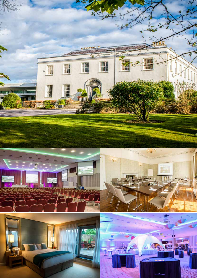







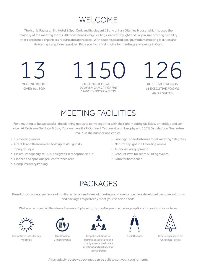# WELCOME

The iconic Radisson Blu Hotel & Spa, Cork and its elegant 18th-century Ditchley House, which houses the majority of the meeting rooms. All rooms feature high ceilings, natural daylight and vary in size offering flexibility that conference organisers require and appreciate! With a sophisticated design, modern meeting facilities and delivering exceptional services, Radisson Blu is first choice for meetings and events in Cork.

13 MEETING ROOMS OVER 801 SQM

1150 126 MEETING DELEGATES *MAXIMUM CAPACITY OF THE* 

*LARGEST FUNCTION ROOM*

30 SUPERIOR ROOMS, 11 EXECUTIVE ROOMS AND 7 SUITES

# MEETING FACILITIES

For a meeting to be successful, the planning needs to come together with the right meeting facilities, amenities and service. At Radisson Blu Hotel & Spa, Cork we have it all! Our Yes I Can! service philosophy and 100% Satisfaction Guarantee make us the number one choice.

- 13 meeting rooms
- Great Island Ballroom can host up to 450 guests banquet style
- Maximum capacity of 1150 delegates in reception setup
- Modern and spacious pre-conference area
- Complimentary Parking
- Free high-speed Internet for all meeting delegates
- Natural daylight in all meeting rooms
- Audio visual equipment
- Croquet lawn for team building events
- Patio for barbecues

## PACKAGES

Based on our wide experience of hosting all types and sizes of meetings and events, we have developed bespoke solutions and packages to perfectly meet your specific needs.

We have removed all the stress from event planning, by creating unique package options for you to choose from:



Competitive rates for day meetings



Outstanding 24 hour events



Bespoke solutions for training, associations and charity events, healthcare meetings and packages for sports groups





Social Events Creative packages for Christmas Parties

Alternatively, bespoke packages can be built to suit your requirements.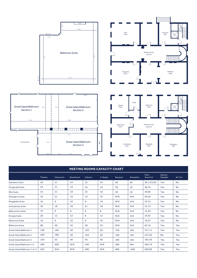

|                                | <b>MEETING ROOMS CAPACITY CHART</b> |           |           |         |         |         |           |                      |                     |           |
|--------------------------------|-------------------------------------|-----------|-----------|---------|---------|---------|-----------|----------------------|---------------------|-----------|
|                                | Theatre                             | Classroom | Boardroom | Cabaret | U-Shape | Banquet | Reception | Floor<br>Area $(m2)$ | Natural<br>Daylight | Air Con   |
| <b>Glandore Suite</b>          | 50                                  | 21        | 24        | 32      | 24      | 40      | 80        | 38.1/23.85           | Yes                 | No        |
| <b>Fitzgerald Suite</b>        | 34                                  | 21        | 19        | 24      | 19      | 30      | 50        | 38.79                | Yes                 | <b>No</b> |
| <b>Ellis Suite</b>             | 34                                  | 21        | 19        | 24      | 19      | 30      | 50        | 40.60                | Yes                 | <b>No</b> |
| <b>Shangarry Suite</b>         | 34                                  | 21        | 19        | 24      | 19      | N/A     | N/A       | 40.36                | Yes                 | <b>No</b> |
| Ringabella Suite               | 16                                  | 9         | 10        | 8       | 10      | N/A     | N/A       | 25.31                | Yes                 | <b>No</b> |
| <b>Inchydoney Suite</b>        | 30                                  | 18        | 18        | 21      | 18      | N/A     | N/A       | 31.74                | Yes                 | <b>No</b> |
| <b>Ballycotton Suite</b>       | 10                                  | 6         | 8         | 8       | 8       | N/A     | N/A       | 15.59                | Yes                 | <b>No</b> |
| <b>Kinsale Suite</b>           | 20                                  | 12        | 12        | 8       | 12      | N/A     | N/A       | 25.92                | Yes                 | <b>No</b> |
| <b>Blackrock Suite</b>         | 16                                  | 9         | 10        | 8       | 10      | N/A     | N/A       | 19.97                | Yes                 | <b>No</b> |
| <b>Baltimore Suite</b>         | 80                                  | 60        | 35        | 48      | 35      | N/A     | N/A       | 65.16                | Yes                 | Yes       |
| Great Island Ballroom 1        | 190                                 | 160       | 50        | 120     | 50      | 150     | 400       | 217.11               | Yes                 | Yes       |
| <b>Great Island Ballroom 2</b> | 220                                 | 180       | 50        | 144     | 50      | 160     | 450       | 247.65               | <b>No</b>           | Yes       |
| <b>Great Island Ballroom 3</b> | 150                                 | 63        | 40        | 64      | 40      | 100     | 180       | 165.30               | Yes                 | Yes       |
| Great Island Ballroom 1+2      | 500                                 | 400       | N/A       | 340     | N/A     | 380     | 850       | 464.76               | Yes                 | Yes       |
| Great Island Ballroom 1+2+3    | 650                                 | N/A       | N/A       | 400     | N/A     | 480     | 1000      | 630.06               | Yes                 | Yes       |

5 A B